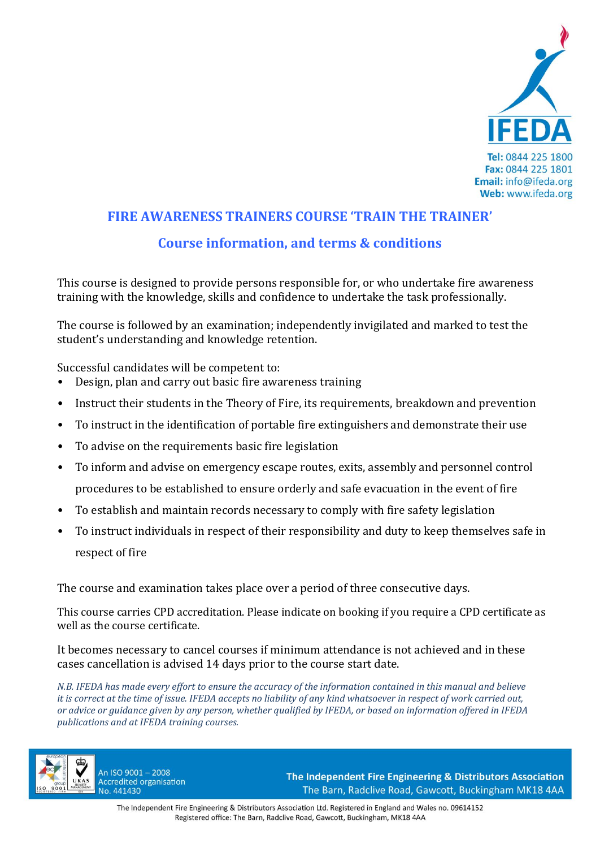

## **FIRE AWARENESS TRAINERS COURSE 'TRAIN THE TRAINER' Course information, and terms & conditions**

This course is designed to provide persons responsible for, or who undertake fire awareness training with the knowledge, skills and confidence to undertake the task professionally.

The course is followed by an examination; independently invigilated and marked to test the student's understanding and knowledge retention.

Successful candidates will be competent to:

- Design, plan and carry out basic fire awareness training
- Instruct their students in the Theory of Fire, its requirements, breakdown and prevention
- To instruct in the identification of portable fire extinguishers and demonstrate their use
- To advise on the requirements basic fire legislation
- To inform and advise on emergency escape routes, exits, assembly and personnel control procedures to be established to ensure orderly and safe evacuation in the event of fire
- To establish and maintain records necessary to comply with fire safety legislation
- To instruct individuals in respect of their responsibility and duty to keep themselves safe in respect of fire

The course and examination takes place over a period of three consecutive days.

This course carries CPD accreditation. Please indicate on booking if you require a CPD certificate as well as the course certificate.

It becomes necessary to cancel courses if minimum attendance is not achieved and in these cases cancellation is advised 14 days prior to the course start date.

*N.B. IFEDA has made every effort to ensure the accuracy of the information contained in this manual and believe it is correct at the time of issue. IFEDA accepts no liability of any kind whatsoever in respect of work carried out, or advice or guidance given by any person, whether qualified by IFEDA, or based on information offered in IFEDA publications and at IFEDA training courses.* 



An ISO 9001-2008 **Accredited organisation** No. 441430

The Independent Fire Engineering & Distributors Association The Barn, Radclive Road, Gawcott, Buckingham MK18 4AA